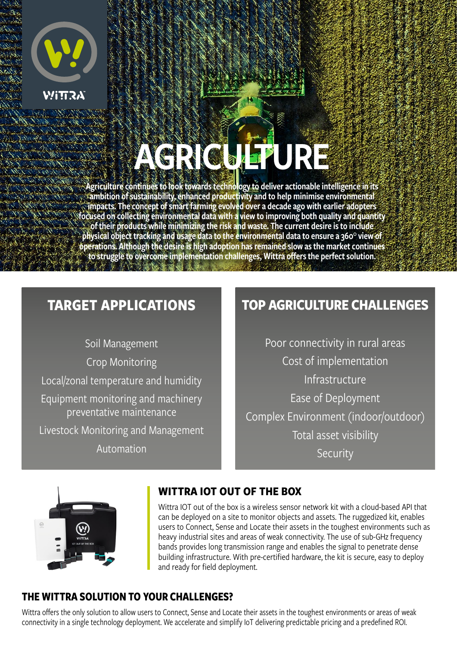

# AGRICULTURE

Agriculture continues to look towards technology to deliver actionable intelligence in its ambition of sustainability, enhanced productivity and to help minimise environmental impacts. The concept of smart farming evolved over a decade ago with earlier adopters focused on collecting environmental data with a view to improving both quality and quantity of their products while minimizing the risk and waste. The current desire is to include physical object tracking and usage data to the environmental data to ensure a 360° view of operations. Although the desire is high adoption has remained slow as the market continues to struggle to overcome implementation challenges, Wittra offers the perfect solution.

# **TARGET APPLICATIONS**

Soil Management Crop Monitoring Local/zonal temperature and humidity Equipment monitoring and machinery preventative maintenance Livestock Monitoring and Management

Automation

# **TOP AGRICULTURE CHALLENGES**

Poor connectivity in rural areas Cost of implementation Infrastructure Ease of Deployment Complex Environment (indoor/outdoor) Total asset visibility Security



## **WITTRA IOT OUT OF THE BOX**

Wittra IOT out of the box is a wireless sensor network kit with a cloud-based API that can be deployed on a site to monitor objects and assets. The ruggedized kit, enables users to Connect, Sense and Locate their assets in the toughest environments such as heavy industrial sites and areas of weak connectivity. The use of sub-GHz frequency bands provides long transmission range and enables the signal to penetrate dense building infrastructure. With pre-certified hardware, the kit is secure, easy to deploy and ready for field deployment.

## **THE WITTRA SOLUTION TO YOUR CHALLENGES?**

Wittra offers the only solution to allow users to Connect, Sense and Locate their assets in the toughest environments or areas of weak connectivity in a single technology deployment. We accelerate and simplify IoT delivering predictable pricing and a predefined ROI.